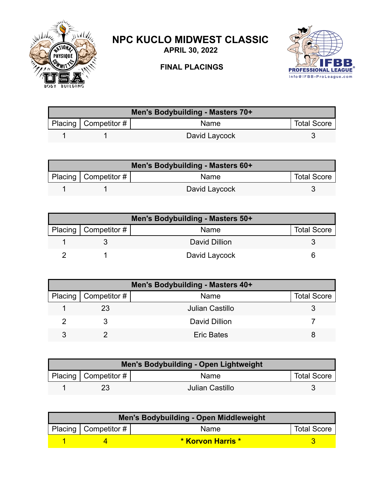

## **NPC KUCLO MIDWEST CLASSIC**

**APRIL 30, 2022**

## **FINAL PLACINGS**



| Men's Bodybuilding - Masters 70+ |                          |               |                    |  |
|----------------------------------|--------------------------|---------------|--------------------|--|
|                                  | Placing   Competitor $#$ | <b>Name</b>   | <b>Total Score</b> |  |
|                                  |                          | David Laycock |                    |  |

| Men's Bodybuilding - Masters 60+ |                        |               |                    |  |
|----------------------------------|------------------------|---------------|--------------------|--|
|                                  | Placing   Competitor # | Name          | <b>Total Score</b> |  |
|                                  |                        | David Laycock |                    |  |

| Men's Bodybuilding - Masters 50+ |               |                    |  |  |
|----------------------------------|---------------|--------------------|--|--|
| Placing   Competitor #           | Name          | <b>Total Score</b> |  |  |
|                                  | David Dillion |                    |  |  |
|                                  | David Laycock |                    |  |  |

| Men's Bodybuilding - Masters 40+ |                        |                   |                    |  |
|----------------------------------|------------------------|-------------------|--------------------|--|
|                                  | Placing   Competitor # | Name              | <b>Total Score</b> |  |
|                                  | 23                     | Julian Castillo   |                    |  |
|                                  |                        | David Dillion     |                    |  |
|                                  |                        | <b>Eric Bates</b> |                    |  |

| <b>Men's Bodybuilding - Open Lightweight</b> |                                      |                 |                    |  |
|----------------------------------------------|--------------------------------------|-----------------|--------------------|--|
|                                              | Placing $\vert$ Competitor # $\vert$ | Name            | <b>Total Score</b> |  |
|                                              | 23                                   | Julian Castillo |                    |  |

| Men's Bodybuilding - Open Middleweight |                           |                          |                    |  |
|----------------------------------------|---------------------------|--------------------------|--------------------|--|
|                                        | Placing   Competitor $\#$ | Name                     | <b>Total Score</b> |  |
|                                        |                           | <b>* Korvon Harris *</b> |                    |  |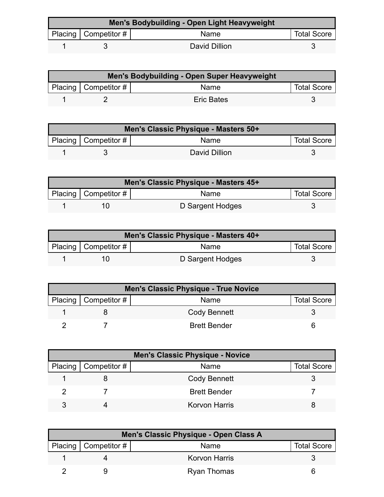| Men's Bodybuilding - Open Light Heavyweight |                        |               |                    |  |
|---------------------------------------------|------------------------|---------------|--------------------|--|
|                                             | Placing   Competitor # | <b>Name</b>   | <b>Total Score</b> |  |
|                                             |                        | David Dillion |                    |  |

| <b>Men's Bodybuilding - Open Super Heavyweight</b> |                        |                   |                    |  |
|----------------------------------------------------|------------------------|-------------------|--------------------|--|
|                                                    | Placing   Competitor # | Name              | <b>Total Score</b> |  |
|                                                    |                        | <b>Eric Bates</b> |                    |  |

| Men's Classic Physique - Masters 50+ |                          |               |                    |  |
|--------------------------------------|--------------------------|---------------|--------------------|--|
|                                      | Placing   Competitor $#$ | <b>Name</b>   | <b>Total Score</b> |  |
|                                      |                          | David Dillion |                    |  |

| Men's Classic Physique - Masters 45+ |                           |                  |                    |  |
|--------------------------------------|---------------------------|------------------|--------------------|--|
|                                      | Placing   Competitor $\#$ | Name             | <b>Total Score</b> |  |
|                                      |                           | D Sargent Hodges |                    |  |

| Men's Classic Physique - Masters 40+ |                           |                  |                    |  |
|--------------------------------------|---------------------------|------------------|--------------------|--|
|                                      | Placing   Competitor $\#$ | Name             | <b>Total Score</b> |  |
|                                      |                           | D Sargent Hodges |                    |  |

| <b>Men's Classic Physique - True Novice</b> |                        |                     |                    |  |
|---------------------------------------------|------------------------|---------------------|--------------------|--|
|                                             | Placing   Competitor # | Name                | <b>Total Score</b> |  |
|                                             |                        | Cody Bennett        |                    |  |
|                                             |                        | <b>Brett Bender</b> |                    |  |

| <b>Men's Classic Physique - Novice</b> |                        |                      |                    |
|----------------------------------------|------------------------|----------------------|--------------------|
|                                        | Placing   Competitor # | Name                 | <b>Total Score</b> |
|                                        |                        | Cody Bennett         |                    |
|                                        |                        | <b>Brett Bender</b>  |                    |
|                                        |                        | <b>Korvon Harris</b> |                    |

| Men's Classic Physique - Open Class A |                        |                      |                    |  |
|---------------------------------------|------------------------|----------------------|--------------------|--|
|                                       | Placing   Competitor # | Name                 | <b>Total Score</b> |  |
|                                       |                        | <b>Korvon Harris</b> |                    |  |
|                                       |                        | <b>Ryan Thomas</b>   |                    |  |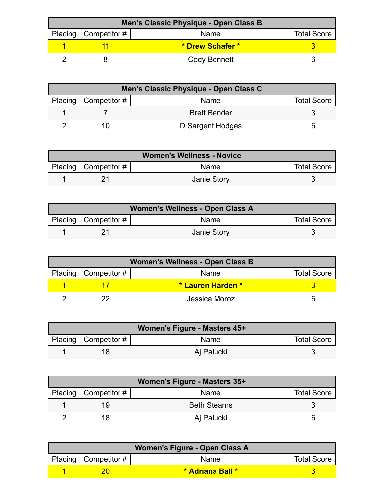| Men's Classic Physique - Open Class B |                          |                  |                    |  |
|---------------------------------------|--------------------------|------------------|--------------------|--|
|                                       | Placing   Competitor $#$ | Name             | <b>Total Score</b> |  |
|                                       |                          | * Drew Schafer * |                    |  |
|                                       |                          | Cody Bennett     |                    |  |

| Men's Classic Physique - Open Class C |                        |                     |                    |  |
|---------------------------------------|------------------------|---------------------|--------------------|--|
|                                       | Placing   Competitor # | Name                | <b>Total Score</b> |  |
|                                       |                        | <b>Brett Bender</b> |                    |  |
|                                       |                        | D Sargent Hodges    |                    |  |

| <b>Women's Wellness - Novice</b> |                        |                    |                    |
|----------------------------------|------------------------|--------------------|--------------------|
|                                  | Placing   Competitor # | <b>Name</b>        | <b>Total Score</b> |
|                                  |                        | <b>Janie Story</b> |                    |

| Women's Wellness - Open Class A |                          |                    |                    |  |
|---------------------------------|--------------------------|--------------------|--------------------|--|
|                                 | Placing   Competitor $#$ | Name               | <b>Total Score</b> |  |
|                                 |                          | <b>Janie Story</b> |                    |  |

| <b>Women's Wellness - Open Class B</b> |                        |                   |                    |
|----------------------------------------|------------------------|-------------------|--------------------|
|                                        | Placing   Competitor # | Name              | <b>Total Score</b> |
|                                        |                        | * Lauren Harden * |                    |
|                                        |                        | Jessica Moroz     |                    |

| Women's Figure - Masters 45+ |                          |             |                    |  |
|------------------------------|--------------------------|-------------|--------------------|--|
|                              | Placing   Competitor $#$ | <b>Name</b> | <b>Total Score</b> |  |
|                              |                          | Aj Palucki  |                    |  |

| Women's Figure - Masters 35+ |                     |                    |  |  |
|------------------------------|---------------------|--------------------|--|--|
| Placing   Competitor $#$     | Name                | <b>Total Score</b> |  |  |
| 19                           | <b>Beth Stearns</b> |                    |  |  |
|                              | Aj Palucki          |                    |  |  |

| Women's Figure - Open Class A |                        |                  |                    |  |
|-------------------------------|------------------------|------------------|--------------------|--|
|                               | Placing   Competitor # | Name             | <b>Total Score</b> |  |
|                               |                        | * Adriana Ball * |                    |  |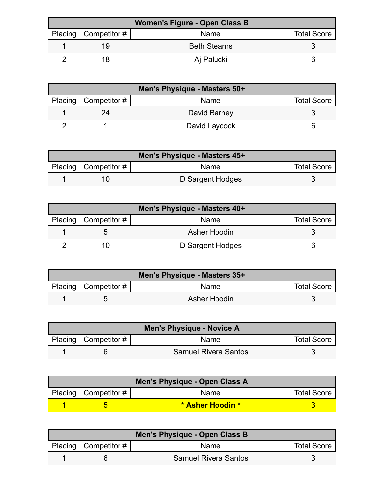| Women's Figure - Open Class B |                        |                     |                    |  |
|-------------------------------|------------------------|---------------------|--------------------|--|
|                               | Placing   Competitor # | <b>Name</b>         | <b>Total Score</b> |  |
|                               | 19                     | <b>Beth Stearns</b> |                    |  |
|                               |                        | Aj Palucki          |                    |  |

| Men's Physique - Masters 50+ |               |                    |  |  |
|------------------------------|---------------|--------------------|--|--|
| Placing   Competitor #       | Name          | <b>Total Score</b> |  |  |
| 24                           | David Barney  |                    |  |  |
|                              | David Laycock |                    |  |  |

| Men's Physique - Masters 45+ |                           |                  |                    |  |
|------------------------------|---------------------------|------------------|--------------------|--|
|                              | Placing   Competitor $\#$ | Name             | <b>Total Score</b> |  |
|                              |                           | D Sargent Hodges |                    |  |

| Men's Physique - Masters 40+ |                  |                    |  |  |
|------------------------------|------------------|--------------------|--|--|
| Placing   Competitor #       | Name             | <b>Total Score</b> |  |  |
|                              | Asher Hoodin     |                    |  |  |
|                              | D Sargent Hodges |                    |  |  |

| Men's Physique - Masters 35+ |                        |              |                    |  |
|------------------------------|------------------------|--------------|--------------------|--|
|                              | Placing   Competitor # | Name         | <b>Total Score</b> |  |
|                              |                        | Asher Hoodin |                    |  |

| <b>Men's Physique - Novice A</b> |                           |                             |                    |  |
|----------------------------------|---------------------------|-----------------------------|--------------------|--|
|                                  | Placing   Competitor $\#$ | <b>Name</b>                 | <b>Total Score</b> |  |
|                                  |                           | <b>Samuel Rivera Santos</b> |                    |  |

| Men's Physique - Open Class A |                        |                  |                    |  |
|-------------------------------|------------------------|------------------|--------------------|--|
|                               | Placing   Competitor # | <b>Name</b>      | <b>Total Score</b> |  |
|                               |                        | * Asher Hoodin * |                    |  |

| Men's Physique - Open Class B |                        |                             |                    |  |
|-------------------------------|------------------------|-----------------------------|--------------------|--|
|                               | Placing   Competitor # | <b>Name</b>                 | <b>Total Score</b> |  |
|                               |                        | <b>Samuel Rivera Santos</b> |                    |  |